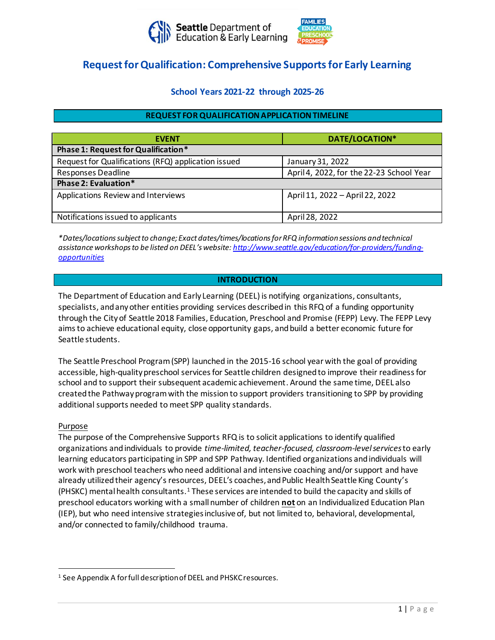



# **Request for Qualification: Comprehensive Supports for Early Learning**

# **School Years 2021-22 through 2025-26**

## **REQUEST FOR QUALIFICATIONAPPLICATION TIMELINE**

| <b>EVENT</b>                                        | DATE/LOCATION*                           |
|-----------------------------------------------------|------------------------------------------|
| Phase 1: Request for Qualification*                 |                                          |
| Request for Qualifications (RFQ) application issued | January 31, 2022                         |
| <b>Responses Deadline</b>                           | April 4, 2022, for the 22-23 School Year |
| Phase 2: Evaluation*                                |                                          |
| Applications Review and Interviews                  | April 11, 2022 - April 22, 2022          |
| Notifications issued to applicants                  | April 28, 2022                           |

*\*Dates/locations subject to change; Exact dates/times/locations for RFQ information sessions and technical assistance workshops to be listed on DEEL's website: [http://www.seattle.gov/education/for-providers/funding](http://www.seattle.gov/education/for-providers/funding-opportunities)[opportunities](http://www.seattle.gov/education/for-providers/funding-opportunities)*

#### **INTRODUCTION**

The Department of Education and Early Learning (DEEL) is notifying organizations, consultants, specialists, and any other entities providing services described in this RFQ of a funding opportunity through the City of Seattle 2018 Families, Education, Preschool and Promise (FEPP) Levy. The FEPP Levy aims to achieve educational equity, close opportunity gaps, and build a better economic future for Seattle students.

The Seattle Preschool Program (SPP) launched in the 2015-16 school year with the goal of providing accessible, high-quality preschool services for Seattle children designed to improve their readiness for school and to support their subsequent academic achievement. Around the same time, DEEL also created the Pathway program with the mission to support providers transitioning to SPP by providing additional supports needed to meet SPP quality standards.

#### Purpose

The purpose of the Comprehensive Supports RFQ is to solicit applications to identify qualified organizations and individuals to provide *time-limited, teacher-focused, classroom-level services*to early learning educators participating in SPP and SPP Pathway. Identified organizations and individuals will work with preschool teachers who need additional and intensive coaching and/or support and have already utilized their agency's resources, DEEL's coaches, and Public Health Seattle King County's (PHSKC) mental health consultants.<sup>1</sup> These services are intended to build the capacity and skills of preschool educators working with a small number of children **not** on an Individualized Education Plan (IEP), but who need intensive strategies inclusive of, but not limited to, behavioral, developmental, and/or connected to family/childhood trauma.

<sup>&</sup>lt;sup>1</sup> See Appendix A for full description of DEEL and PHSKC resources.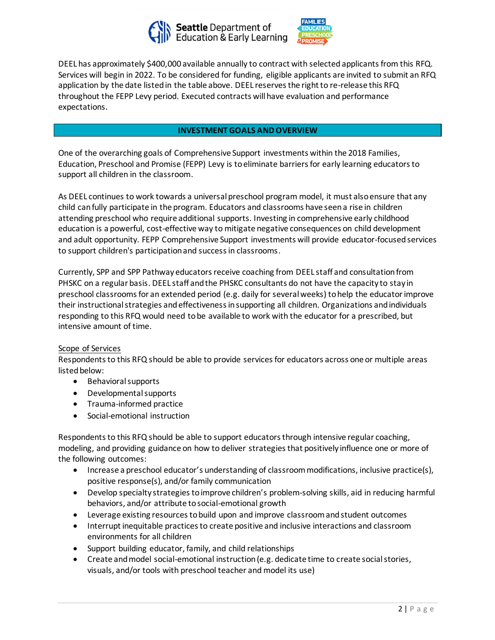



DEEL has approximately \$400,000 available annually to contract with selected applicantsfrom this RFQ. Services will begin in 2022. To be considered for funding, eligible applicants are invited to submit an RFQ application by the date listed in the table above. DEEL reserves the right to re-release this RFQ throughout the FEPP Levy period. Executed contracts will have evaluation and performance expectations.

## **INVESTMENT GOALS AND OVERVIEW**

One of the overarching goals of Comprehensive Support investments within the 2018 Families, Education, Preschool and Promise (FEPP) Levy is to eliminate barriers for early learning educators to support all children in the classroom.

As DEEL continues to work towards a universal preschool program model, it must also ensure that any child can fully participate in the program. Educators and classrooms have seen a rise in children attending preschool who require additional supports. Investing in comprehensive early childhood education is a powerful, cost-effective way to mitigate negative consequences on child development and adult opportunity. FEPP Comprehensive Support investments will provide educator-focused services to support children's participation and success in classrooms.

Currently, SPP and SPP Pathway educators receive coaching from DEEL staff and consultation from PHSKC on a regular basis. DEEL staff and the PHSKC consultants do not have the capacity to stay in preschool classrooms for an extended period (e.g. daily for severalweeks) to help the educatorimprove their instructional strategies and effectiveness in supporting all children. Organizations and individuals responding to this RFQ would need to be available to work with the educator for a prescribed, but intensive amount of time.

#### Scope of Services

Respondents to this RFQ should be able to provide services for educators across one or multiple areas listed below:

- Behavioral supports
- Developmental supports
- Trauma-informed practice
- Social-emotional instruction

Respondents to this RFQ should be able to support educators through intensive regular coaching, modeling, and providing guidance on how to deliver strategies that positively influence one or more of the following outcomes:

- Increase a preschool educator's understanding of classroom modifications, inclusive practice(s), positive response(s), and/or family communication
- Develop specialty strategies to improve children's problem-solving skills, aid in reducing harmful behaviors, and/or attribute to social-emotional growth
- Leverage existing resources to build upon and improve classroom and student outcomes
- Interrupt inequitable practices to create positive and inclusive interactions and classroom environments for all children
- Support building educator, family, and child relationships
- Create and model social-emotional instruction (e.g. dedicate time to create social stories, visuals, and/or tools with preschool teacher and model its use)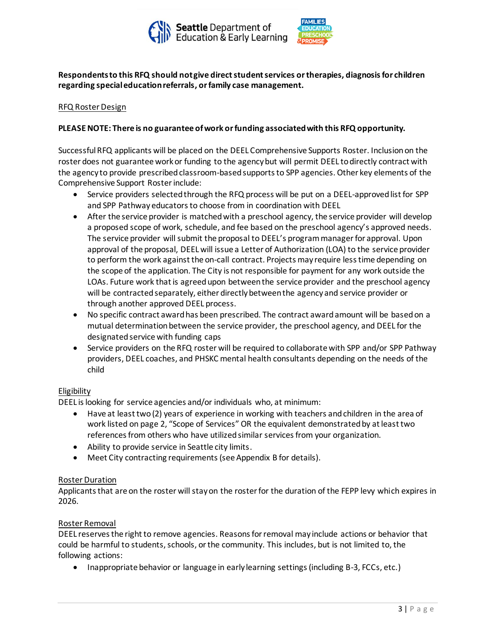



# **Respondents to this RFQ should not give direct student services or therapies, diagnosisfor children regarding special education referrals, or family case management.**

## RFQ Roster Design

# **PLEASE NOTE: There is no guarantee of work or funding associated with this RFQ opportunity.**

Successful RFQ applicants will be placed on the DEEL Comprehensive Supports Roster. Inclusion on the roster does not guarantee work or funding to the agency but will permit DEEL to directly contract with the agency to provide prescribed classroom-based supports to SPP agencies. Other key elements of the Comprehensive Support Roster include:

- Service providers selected through the RFQ process will be put on a DEEL-approved list for SPP and SPP Pathway educators to choose from in coordination with DEEL
- After the service provider is matched with a preschool agency, the service provider will develop a proposed scope of work, schedule, and fee based on the preschool agency's approved needs. The service provider will submit the proposal to DEEL's program manager for approval. Upon approval of the proposal, DEEL will issue a Letter of Authorization (LOA) to the service provider to perform the work against the on-call contract. Projects may require less time depending on the scope of the application. The City is not responsible for payment for any work outside the LOAs. Future work that is agreed upon between the service provider and the preschool agency will be contracted separately, either directly between the agency and service provider or through another approved DEEL process.
- No specific contract award has been prescribed. The contract award amount will be based on a mutual determination between the service provider, the preschool agency, and DEEL for the designated service with funding caps
- Service providers on the RFQ roster will be required to collaborate with SPP and/or SPP Pathway providers, DEEL coaches, and PHSKC mental health consultants depending on the needs of the child

#### Eligibility

DEEL is looking for service agencies and/or individuals who, at minimum:

- Have at least two(2) years of experience in working with teachers and children in the area of work listed on page 2, "Scope of Services" OR the equivalent demonstrated by at least two references from others who have utilized similar services from your organization.
- Ability to provide service in Seattle city limits.
- Meet City contracting requirements(see Appendix B for details).

## Roster Duration

Applicants that are on the roster will stay on the roster for the duration of the FEPP levy which expires in 2026.

#### Roster Removal

DEEL reserves the right to remove agencies. Reasons for removal may include actions or behavior that could be harmful to students, schools, or the community. This includes, but is not limited to, the following actions:

• Inappropriate behavior or language in early learning settings (including B-3, FCCs, etc.)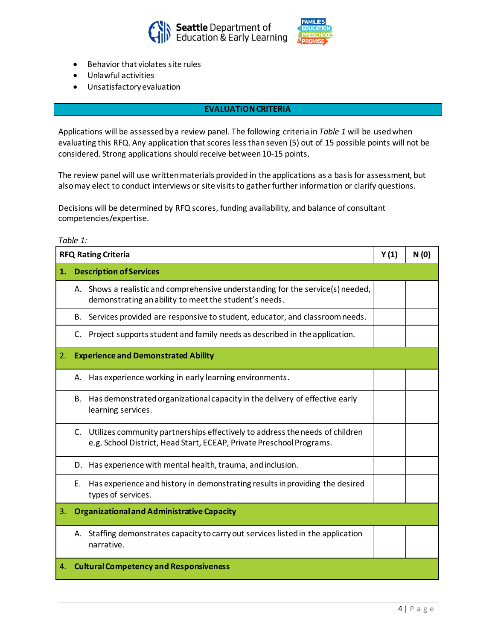



- Behavior that violates site rules
- Unlawful activities
- Unsatisfactory evaluation

#### **EVALUATION CRITERIA**

Applications will be assessed by a review panel. The following criteria in *Table 1* will be used when evaluating this RFQ. Any application that scores less than seven (5) out of 15 possible points will not be considered. Strong applications should receive between 10-15 points.

The review panel will use written materials provided in the applications as a basis for assessment, but also may elect to conduct interviews or site visits to gather further information or clarify questions.

Decisions will be determined by RFQ scores, funding availability, and balance of consultant competencies/expertise.

*Table 1:*

| <b>RFQ Rating Criteria</b> |                                                                                                                                                         | Y(1) | N(0) |
|----------------------------|---------------------------------------------------------------------------------------------------------------------------------------------------------|------|------|
| 1.                         | <b>Description of Services</b>                                                                                                                          |      |      |
|                            | A. Shows a realistic and comprehensive understanding for the service(s) needed,<br>demonstrating an ability to meet the student's needs.                |      |      |
|                            | B. Services provided are responsive to student, educator, and classroom needs.                                                                          |      |      |
|                            | Project supports student and family needs as described in the application.<br>C.                                                                        |      |      |
| 2.                         | <b>Experience and Demonstrated Ability</b>                                                                                                              |      |      |
|                            | Has experience working in early learning environments.<br>А.                                                                                            |      |      |
|                            | Has demonstrated organizational capacity in the delivery of effective early<br>В.<br>learning services.                                                 |      |      |
|                            | C. Utilizes community partnerships effectively to address the needs of children<br>e.g. School District, Head Start, ECEAP, Private Preschool Programs. |      |      |
|                            | D. Has experience with mental health, trauma, and inclusion.                                                                                            |      |      |
|                            | Has experience and history in demonstrating results in providing the desired<br>Е.<br>types of services.                                                |      |      |
| 3.                         | <b>Organizational and Administrative Capacity</b>                                                                                                       |      |      |
|                            | Staffing demonstrates capacity to carry out services listed in the application<br>А.<br>narrative.                                                      |      |      |
| 4.                         | <b>Cultural Competency and Responsiveness</b>                                                                                                           |      |      |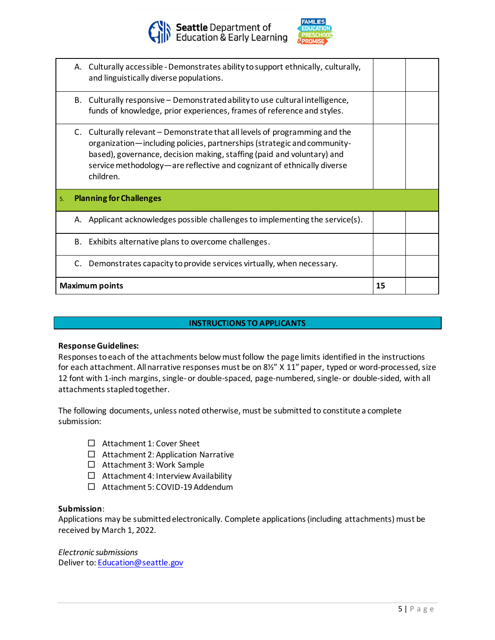



|    |    | A. Culturally accessible - Demonstrates ability to support ethnically, culturally,<br>and linguistically diverse populations.                                                                                                                                                                                           |    |  |
|----|----|-------------------------------------------------------------------------------------------------------------------------------------------------------------------------------------------------------------------------------------------------------------------------------------------------------------------------|----|--|
|    |    | B. Culturally responsive - Demonstrated ability to use cultural intelligence,<br>funds of knowledge, prior experiences, frames of reference and styles.                                                                                                                                                                 |    |  |
|    |    | C. Culturally relevant – Demonstrate that all levels of programming and the<br>organization—including policies, partnerships (strategic and community-<br>based), governance, decision making, staffing (paid and voluntary) and<br>service methodology—are reflective and cognizant of ethnically diverse<br>children. |    |  |
| 5. |    | <b>Planning for Challenges</b>                                                                                                                                                                                                                                                                                          |    |  |
|    |    | A. Applicant acknowledges possible challenges to implementing the service(s).                                                                                                                                                                                                                                           |    |  |
|    | В. | Exhibits alternative plans to overcome challenges.                                                                                                                                                                                                                                                                      |    |  |
|    | C. | Demonstrates capacity to provide services virtually, when necessary.                                                                                                                                                                                                                                                    |    |  |
|    |    | Maximum points                                                                                                                                                                                                                                                                                                          | 15 |  |

## **INSTRUCTIONS TO APPLICANTS**

#### **Response Guidelines:**

Responses to each of the attachments below must follow the page limits identified in the instructions for each attachment. All narrative responses must be on 8½" X 11" paper, typed or word-processed, size 12 font with 1-inch margins, single-or double-spaced, page-numbered, single-or double-sided, with all attachments stapled together.

The following documents, unless noted otherwise, must be submitted to constitute a complete submission:

- □ Attachment 1: Cover Sheet
- $\Box$  Attachment 2: Application Narrative
- $\Box$  Attachment 3: Work Sample
- $\Box$  Attachment 4: Interview Availability
- Attachment 5: COVID-19 Addendum

#### **Submission**:

Applications may be submitted electronically. Complete applications (including attachments) must be received by March 1, 2022.

*Electronic submissions* Deliver to: [Education@seattle.gov](mailto:Education@seattle.gov)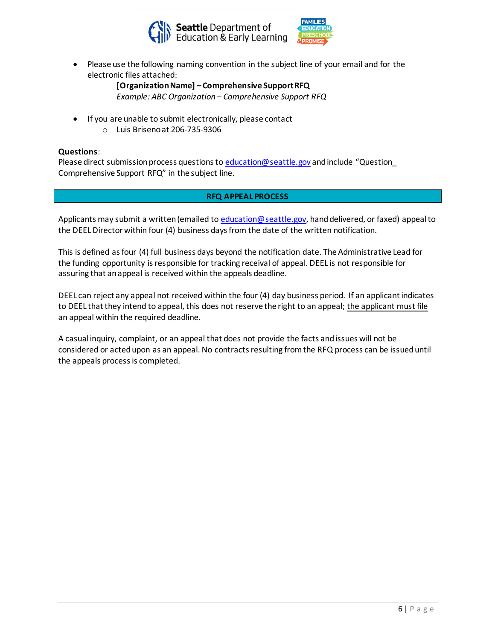



• Please use the following naming convention in the subject line of your email and for the electronic files attached:

> **[Organization Name] – Comprehensive Support RFQ** *Example: ABC Organization – Comprehensive Support RFQ*

- If you are unable to submit electronically, please contact
	- o Luis Briseno at 206-735-9306

# **Questions**:

Please direct submission process questions t[o education@seattle.gov](mailto:education@seattle.gov) and include "Question\_ Comprehensive Support RFQ" in the subject line.

# **RFQ APPEAL PROCESS**

Applicants may submit a written (emailed t[o education@seattle.gov,](mailto:education@seattle.gov) hand delivered, or faxed) appeal to the DEEL Director within four (4) business days from the date of the written notification.

This is defined as four (4) full business days beyond the notification date. The Administrative Lead for the funding opportunity is responsible for tracking receival of appeal. DEEL is not responsible for assuring that an appeal is received within the appeals deadline.

DEEL can reject any appeal not received within the four (4) day business period. If an applicant indicates to DEEL that they intend to appeal, this does not reserve the right to an appeal; the applicant must file an appeal within the required deadline.

A casual inquiry, complaint, or an appeal that does not provide the facts and issues will not be considered or acted upon as an appeal. No contracts resulting from the RFQ process can be issued until the appeals process is completed.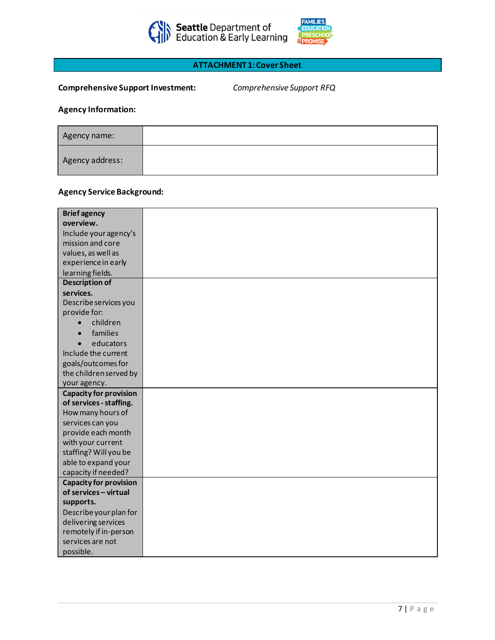



# **ATTACHMENT 1: Cover Sheet**

# **Comprehensive Support Investment:** *Comprehensive Support RFQ*

# **Agency Information:**

| Agency name:    |  |
|-----------------|--|
| Agency address: |  |

# **Agency Service Background:**

| <b>Briefagency</b>            |  |
|-------------------------------|--|
| overview.                     |  |
| Include your agency's         |  |
| mission and core              |  |
| values, as well as            |  |
| experience in early           |  |
| learning fields.              |  |
| <b>Description of</b>         |  |
| services.                     |  |
| Describe services you         |  |
| provide for:                  |  |
| children<br>$\bullet$         |  |
| families                      |  |
| educators                     |  |
| Include the current           |  |
| goals/outcomes for            |  |
| the children served by        |  |
| your agency.                  |  |
| <b>Capacity for provision</b> |  |
| of services - staffing.       |  |
| How many hours of             |  |
| services can you              |  |
| provide each month            |  |
| with your current             |  |
| staffing? Will you be         |  |
| able to expand your           |  |
| capacity if needed?           |  |
| <b>Capacity for provision</b> |  |
| of services - virtual         |  |
| supports.                     |  |
| Describe your plan for        |  |
| delivering services           |  |
| remotely if in-person         |  |
| services are not              |  |
| possible.                     |  |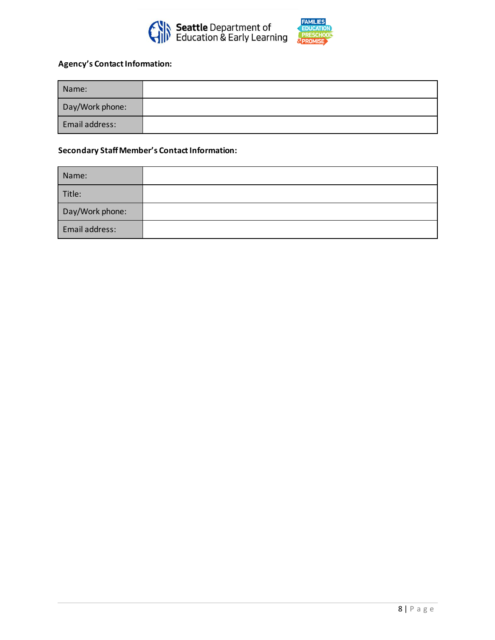



# **Agency's Contact Information:**

| Name:           |  |
|-----------------|--|
| Day/Work phone: |  |
| Email address:  |  |

# **Secondary Staff Member's Contact Information:**

| Name:           |  |
|-----------------|--|
| Title:          |  |
| Day/Work phone: |  |
| Email address:  |  |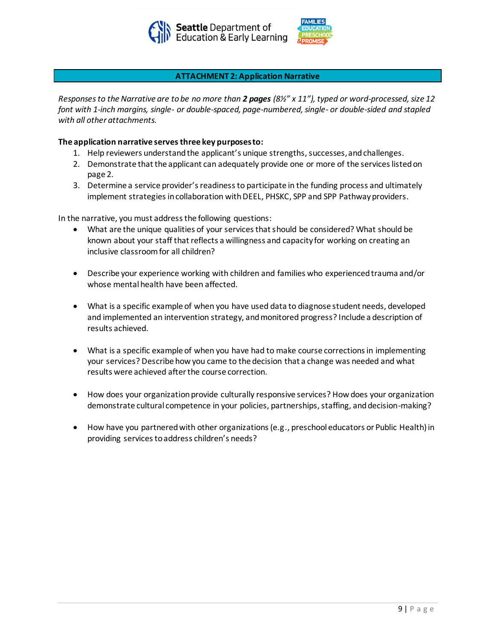



#### **ATTACHMENT 2: Application Narrative**

*Responses to the Narrative are to be no more than 2 pages (8½" x 11"), typed or word-processed, size 12 font with 1-inch margins, single- or double-spaced, page-numbered, single- or double-sided and stapled with all other attachments.* 

#### **The application narrative serves three key purposesto:**

- 1. Help reviewers understand the applicant's unique strengths, successes,and challenges.
- 2. Demonstrate that the applicant can adequately provide one or more of the services listed on page 2.
- 3. Determine a service provider's readinessto participate in the funding process and ultimately implement strategies incollaboration with DEEL, PHSKC, SPP and SPP Pathway providers.

In the narrative, you must address the following questions:

- What are the unique qualities of your services that should be considered? What should be known about your staff that reflects a willingness and capacity for working on creating an inclusive classroom for all children?
- Describe your experience working with children and families who experienced trauma and/or whose mental health have been affected.
- What is a specific example of when you have used data to diagnose student needs, developed and implemented an intervention strategy, and monitored progress? Include a description of results achieved.
- What is a specific example of when you have had to make course corrections in implementing your services? Describe how you came to the decision that a change was needed and what results were achieved after the course correction.
- How does your organization provide culturally responsive services? How does your organization demonstrate cultural competence in your policies, partnerships, staffing, and decision-making?
- How have you partnered with other organizations (e.g., preschool educators or Public Health) in providing services to address children's needs?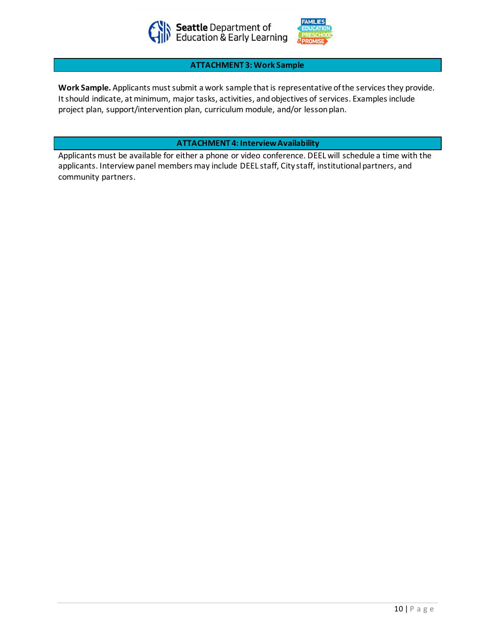



#### **ATTACHMENT 3: Work Sample**

**Work Sample.** Applicants must submit a work sample that is representative of the services they provide. It should indicate, at minimum, major tasks, activities, and objectives of services. Examples include project plan, support/intervention plan, curriculum module, and/or lesson plan.

**ATTACHMENT 4: Interview Availability**

Applicants must be available for either a phone or video conference. DEEL will schedule a time with the applicants. Interview panel members may include DEEL staff, City staff, institutional partners, and community partners.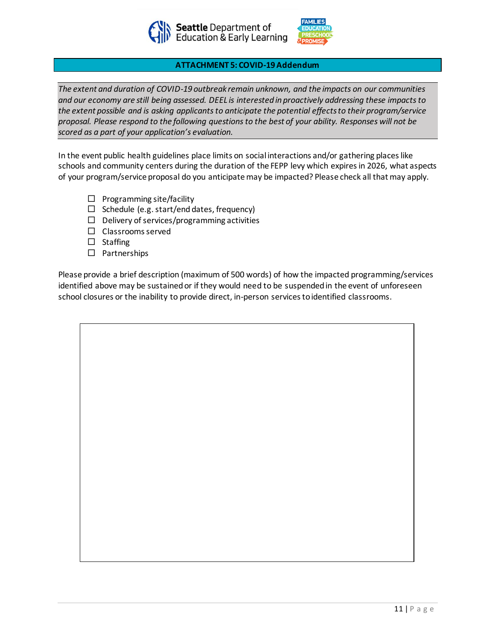



## **ATTACHMENT 5: COVID-19 Addendum**

*The extent and duration of COVID-19 outbreak remain unknown, and the impacts on our communities and our economy are still being assessed. DEEL is interested in proactively addressing these impacts to the extent possible and is asking applicants to anticipate the potential effects to their program/service proposal. Please respond to the following questions to the best of your ability. Responses will not be scored as a part of your application's evaluation.*

In the event public health guidelines place limits on social interactions and/or gathering places like schools and community centers during the duration of the FEPP levy which expires in 2026, what aspects of your program/service proposal do you anticipate may be impacted? Please check all that may apply.

- $\Box$  Programming site/facility
- $\Box$  Schedule (e.g. start/end dates, frequency)
- $\Box$  Delivery of services/programming activities
- $\square$  Classrooms served
- $\square$  Staffing
- $\square$  Partnerships

Please provide a brief description (maximum of 500 words) of how the impacted programming/services identified above may be sustained or if they would need to be suspended in the event of unforeseen school closures or the inability to provide direct, in-person services to identified classrooms.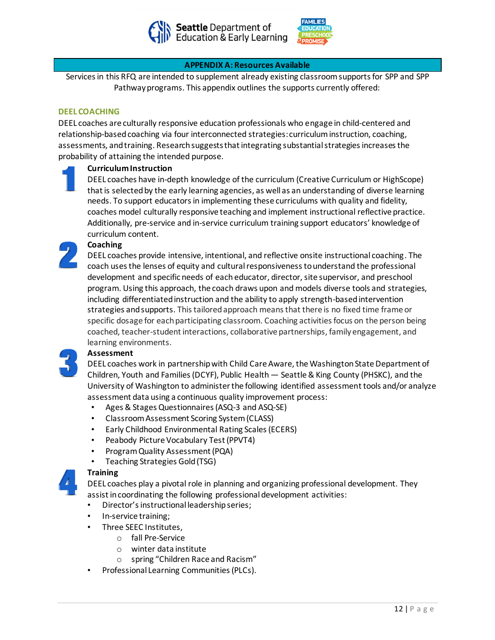



#### **APPENDIX A: Resources Available**

Services in this RFQ are intended to supplement already existing classroom supports for SPP and SPP Pathway programs. This appendix outlines the supports currently offered:

#### **DEEL COACHING**

DEEL coaches are culturally responsive education professionals who engage in child-centered and relationship-based coaching via four interconnected strategies: curriculum instruction, coaching, assessments, and training. Research suggests that integrating substantial strategies increases the probability of attaining the intended purpose.

#### **Curriculum Instruction**

DEEL coaches have in-depth knowledge of the curriculum (Creative Curriculum or HighScope) that is selected by the early learning agencies, as well as an understanding of diverse learning needs. To support educators in implementing these curriculums with quality and fidelity, coaches model culturally responsive teaching and implement instructional reflective practice. Additionally, pre-service and in-service curriculum training support educators' knowledge of curriculum content.

# **Coaching**

DEEL coaches provide intensive, intentional, and reflective onsite instructional coaching. The coach uses the lenses of equity and cultural responsiveness to understand the professional development and specific needs of each educator, director, site supervisor, and preschool program. Using this approach, the coach draws upon and models diverse tools and strategies, including differentiated instruction and the ability to apply strength-based intervention strategies and supports. This tailored approach means that there is no fixed time frame or specific dosage for each participating classroom. Coaching activities focus on the person being coached, teacher-student interactions, collaborative partnerships, family engagement, and learning environments.

#### **Assessment**

DEEL coaches work in partnership with Child Care Aware, the Washington State Department of Children, Youth and Families (DCYF), Public Health — Seattle & King County (PHSKC), and the University of Washington to administer the following identified assessment tools and/or analyze assessment data using a continuous quality improvement process:

- Ages & Stages Questionnaires (ASQ-3 and ASQ-SE)
- Classroom Assessment Scoring System (CLASS)
- Early Childhood Environmental Rating Scales (ECERS)
- Peabody Picture Vocabulary Test (PPVT4)
- Program Quality Assessment (PQA)
- Teaching Strategies Gold (TSG)

#### **Training**

DEEL coaches play a pivotal role in planning and organizing professional development. They assist in coordinating the following professional development activities:

- Director's instructional leadership series;
- In-service training;
- Three SEEC Institutes,
	- o fall Pre-Service
	- o winter data institute
	- o spring "Children Race and Racism"
- Professional Learning Communities (PLCs).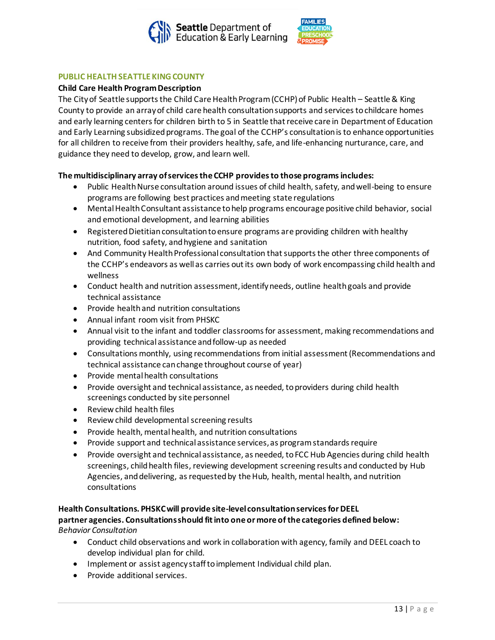



#### **PUBLIC HEALTH SEATTLE KING COUNTY**

#### **Child Care Health Program Description**

The City of Seattle supports the Child Care Health Program (CCHP) of Public Health – Seattle & King County to provide an array of child care health consultation supports and services to childcare homes and early learning centers for children birth to 5 in Seattle that receive care in Department of Education and Early Learning subsidized programs. The goal of the CCHP's consultation is to enhance opportunities for all children to receive from their providers healthy, safe, and life-enhancing nurturance, care, and guidance they need to develop, grow, and learn well.

#### **The multidisciplinary array of services the CCHP provides to those programs includes:**

- Public Health Nurse consultation around issues of child health, safety, and well-being to ensure programs are following best practices and meeting state regulations
- Mental Health Consultant assistance to help programs encourage positive child behavior, social and emotional development, and learning abilities
- Registered Dietitian consultation to ensure programs are providing children with healthy nutrition, food safety, and hygiene and sanitation
- And Community Health Professional consultation that supports the other three components of the CCHP's endeavors as well as carries out its own body of work encompassing child health and wellness
- Conduct health and nutrition assessment, identify needs, outline health goals and provide technical assistance
- Provide health and nutrition consultations
- Annual infant room visit from PHSKC
- Annual visit to the infant and toddler classrooms for assessment, making recommendations and providing technical assistance and follow-up as needed
- Consultations monthly, using recommendations from initial assessment (Recommendations and technical assistance can change throughout course of year)
- Provide mental health consultations
- Provide oversight and technical assistance, as needed, to providers during child health screenings conducted by site personnel
- Review child health files
- Review child developmental screening results
- Provide health, mental health, and nutrition consultations
- Provide support and technical assistance services, as program standards require
- Provide oversight and technical assistance, as needed, to FCC Hub Agencies during child health screenings, child health files, reviewing development screening results and conducted by Hub Agencies, and delivering, as requested by the Hub, health, mental health, and nutrition consultations

#### **Health Consultations. PHSKC will provide site-level consultation services for DEEL**

#### **partner agencies. Consultations should fit into one or more of the categories defined below:** *Behavior Consultation*

- Conduct child observations and work in collaboration with agency, family and DEEL coach to develop individual plan for child.
- Implement or assist agency staff to implement Individual child plan.
- Provide additional services.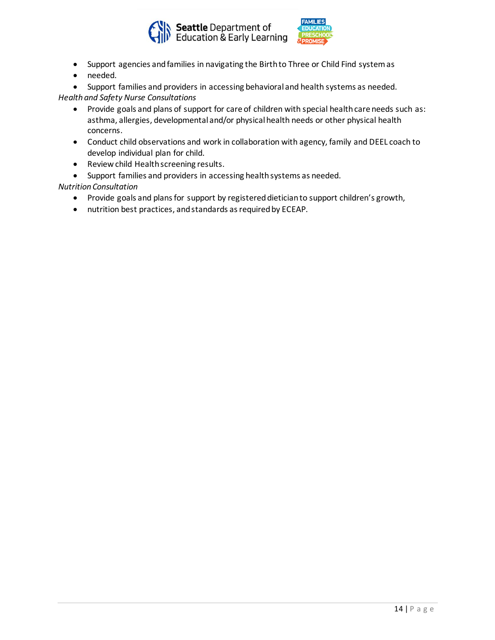



- Support agencies and families in navigating the Birth to Three or Child Find system as
- needed.
- Support families and providers in accessing behavioral and health systems as needed. *Health and Safety Nurse Consultations*
	- Provide goals and plans of support for care of children with special health care needs such as: asthma, allergies, developmental and/or physical health needs or other physical health concerns.
	- Conduct child observations and work in collaboration with agency, family and DEEL coach to develop individual plan for child.
	- Review child Health screening results.
	- Support families and providers in accessing health systems as needed.

#### *Nutrition Consultation*

- Provide goals and plans for support by registered dietician to support children's growth,
- nutrition best practices, and standards as required by ECEAP.